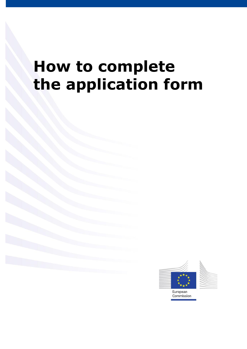# **How to complete the application form**

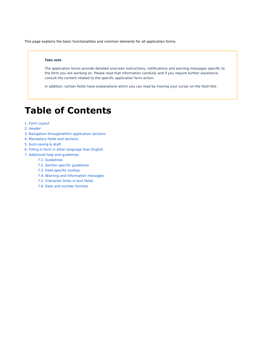This page explains the basic functionalities and common elements for all application forms.

#### **Take note**

The application forms provide detailed onscreen instructions, notifications and warning messages specific to the form you are working on. Please read that information carefully and if you require further assistance, consult the content related to the specific application form action.

In addition, certain fields have explanations which you can read by moving your cursor on the field title.

## **Table of Contents**

- [1. Form Layout](#page-2-0)
- [2. Header](#page-3-0)
- [3. Navigation through/within application sections](#page-3-1)
- [4. Mandatory fields and sections](#page-4-0)
- [5. Auto-saving & draft](#page-5-0)
- [6. Filling in form in other language than English](#page-5-1)
- [7. Additional help and guidelines](#page-6-0)
	- [7.1. Guidelines](#page-6-1)
	- [7.2. Section specific guidelines](#page-7-0)
	- [7.3. Field specific tooltips](#page-8-0)
	- [7.4. Warning and information messages](#page-9-0)
	- [7.5. Character limits in text fields](#page-10-0)
	- [7.6. Date and number formats](#page-10-1)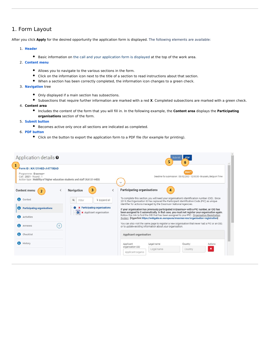## <span id="page-2-0"></span>1. Form Layout

After you click **Apply** for the desired opportunity the application form is displayed. The following elements are available:

#### 1. **[Header](#page-2-1)**

- **Basic information on the call and your application form is displayed at the top of the work area.**
- 2. **[Content menu](#page-3-2)**
	- Allows you to navigate to the various sections in the form.
	- Click on the information icon next to the title of a section to read instructions about that section.
	- When a section has been correctly completed, the information icon changes to a green check.
- 3. **[Navigation](#page-3-2)** tree
	- Only displayed if a main section has subsections.
	- Subsections that require further information are marked with a red **X**. Completed subsections are marked with a green check.
- 4. **Content area**
	- Includes the content of the form that you will fill in. In the following example, the **Content area** displays the **Participating organisations** section of the form.
- 5. **[Submit button](https://webgate.ec.europa.eu/fpfis/wikis/x/ygUKIg)**
	- Becomes active only once all sections are indicated as completed.
- 6. **[PDF button](https://webgate.ec.europa.eu/fpfis/wikis/x/pIvbIQ)**
	- Click on the button to export the application form to a PDF file (for example for printing).

<span id="page-2-1"></span>

| Form ID: KA131HED-A4770E6D<br>Programme: Erasmus+<br>Call: 2021 - Round: 1<br>Action type: Mobility of higher education students and staff (KA131-HED) |                           |                                                                         |                                                    |                                                                        | <b>DRAF</b><br>Deadline for submission : 03/02/2021 12:00:00 - Brussels, Belgium Time                                                                                                                                                                                                                                                                                                                                                                                                       |                           |
|--------------------------------------------------------------------------------------------------------------------------------------------------------|---------------------------|-------------------------------------------------------------------------|----------------------------------------------------|------------------------------------------------------------------------|---------------------------------------------------------------------------------------------------------------------------------------------------------------------------------------------------------------------------------------------------------------------------------------------------------------------------------------------------------------------------------------------------------------------------------------------------------------------------------------------|---------------------------|
| Content menu<br><<br>$\overline{2}$<br>$\bullet$<br>Context                                                                                            | Navigation<br>Q<br>Filter | 3<br>7 Expand all                                                       | <b>Participating organisations</b>                 | 4<br>identifier for actions managed by the Erasmus+ National Agencies. | To complete this section, you will need your organisation's identification number (OID). Since<br>2019, the Organisation ID has replaced the Participant Identification Code (PIC) as unique                                                                                                                                                                                                                                                                                                |                           |
| Participating organisations<br>60<br>Activities<br>a<br>$\circ$<br>Annexes                                                                             |                           | <b>x</b> Participating organisations<br><b>x</b> Applicant organisation |                                                    | or to update existing information about your organisation.             | If your organisation has previously participated in Erasmus+ with a PIC number, an OID has<br>been assigned to it automatically. In that case, you must not register your organisation again.<br>Follow this link to find the OID that has been assigned to your PIC: Organisation Registration<br>System [Hyperlink https://webgate.ec.europa.eu/erasmus-esc/organisation-registration]<br>You can also visit the same page to register a new organisation that never had a PIC or an OID, |                           |
| $\bullet$<br>Checklist                                                                                                                                 |                           |                                                                         | Applicant organisation                             |                                                                        |                                                                                                                                                                                                                                                                                                                                                                                                                                                                                             |                           |
| <b>60</b> History                                                                                                                                      |                           |                                                                         | Applicant<br>organisation OID<br>Applicant organis | Legal name<br>Legal name                                               | Country<br>Country                                                                                                                                                                                                                                                                                                                                                                                                                                                                          | Actions<br>$\pmb{\times}$ |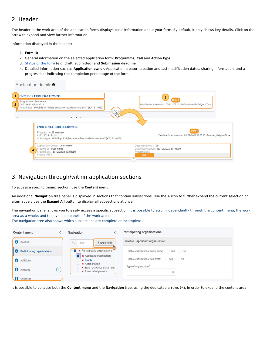## <span id="page-3-0"></span>2. Header

The header in the work area of the application forms displays basic information about your form. By default, it only shows key details. Click on the arrow to expand and view further information.

Information displayed in the header:

- 1. **Form ID**
- 2. General information on the selected application form: Programme, Call and Action type
- 3. [Status of the form](https://webgate.ec.europa.eu/fpfis/wikis/x/JBgbIg) (e.g. draft, submitted) and **Submission deadline**
- 4. Detailed information such as **Application owner**, Application creator, creation and last modification dates, sharing information, and a progress bar indicating the completion percentage of the form.

Application details <sup>o</sup>

| Form ID: KA131HED-1AB25E33                                                                                                                             | 3                                                                                                      |
|--------------------------------------------------------------------------------------------------------------------------------------------------------|--------------------------------------------------------------------------------------------------------|
| Programme : Erasmus+<br>Call: 2021 - Round: 1<br>Action type: Mobility of higher education students and staff (KA131-HED)<br>$P$ and and               | <b>DRAFT</b><br>Deadline for submission : 03/02/2021 12:00:00 - Brussels, Belgium Time<br>$\checkmark$ |
| Form ID: KA131HED-1AB25E33<br>Programme: Erasmus+<br>Call: 2021 - Round: 1<br>Action type: Mobility of higher education students and staff (KA131-HED) | DRAFT<br>Deadline for submission : 03/02/2021 12:00:00 - Brussels, Belgium Time                        |
| Application Owner: User Name<br>Created by: User Name<br>4<br>Created on: 16/10/2020 13:51:30<br>Shared with:                                          | Days remaining: 109<br>Last modification: 16/10/2020 13:51:30<br>Progression:<br>20%                   |

### <span id="page-3-2"></span><span id="page-3-1"></span>3. Navigation through/within application sections

To access a specific (main) section, use the **Content menu**.

An additional **Navigation** tree panel is displayed in sections that contain subsections. Use the **+** icon to further expand the current selection or alternatively use the **Expand All** button to display all subsections at once.

The navigation panel allows you to easily access a specific subsection. It is possible to scroll independently through the content menu, the work area as a whole, and the available panels of the work area.

The navigation tree also shows which subsections are complete or incomplete.

| Content menu                              | Navigation                                                                          | <b>Participating organisations</b>           |
|-------------------------------------------|-------------------------------------------------------------------------------------|----------------------------------------------|
| €<br>Context                              | $\mathsf q$<br><b>1</b> Expand all<br>Filter                                        | Profile : Applicant organisation             |
| <b>Participating organisations</b><br>l G | A Participating organisations                                                       | Is the organisation a public body?<br>Yes No |
| A<br>Activities                           | <b>x</b> Applicant organisation<br>81<br><b>x</b> Profile<br><b>x</b> Accreditation | Yes No<br>Is the organisation a non-profit?  |
| 6<br>$\theta$<br>Annexes                  | <b>x</b> Erasmus Policy Statement<br><b>x</b> Associated persons                    | Type of Organisation                         |
| Checklist                                 |                                                                                     |                                              |

It is possible to collapse both the **Content menu** and the **Navigation** tree, using the dedicated arrows (<), in order to expand the content area.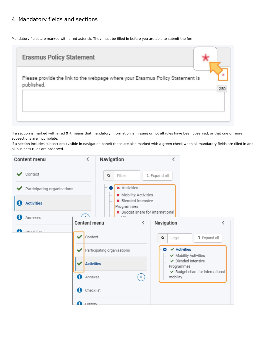## <span id="page-4-0"></span>4. Mandatory fields and sections

Mandatory fields are marked with a red asterisk. They must be filled in before you are able to submit the form.

| <b>Erasmus Policy Statement</b>                                                             |     |
|---------------------------------------------------------------------------------------------|-----|
| Please provide the link to the webpage where your Erasmus Policy Statement is<br>published. | 250 |
|                                                                                             |     |

If a section is marked with a red X it means that mandatory information is missing or not all rules have been observed, or that one or more subsections are incomplete.

If a section includes subsections (visible in navigation panel) these are also marked with a green check when all mandatory fields are filled in and all business rules are observed.

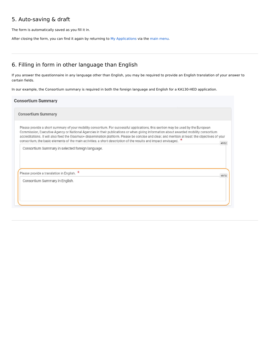## <span id="page-5-0"></span>5. Auto-saving & draft

The form is automatically saved as you fill it in.

After closing the form, you can find it again by returning to [My Applications](https://webgate.ec.europa.eu/fpfis/wikis/x/JBgbIg) via the [main menu](https://webgate.ec.europa.eu/fpfis/wikis/x/xI48IQ).

## <span id="page-5-1"></span>6. Filling in form in other language than English

If you answer the questionnaire in any language other than English, you may be required to provide an English translation of your answer to certain fields.

In our example, the Consortium summary is required in both the foreign language and English for a KA130-HED application.

#### **Consortium Summary**

**Consortium Summary** 

Please provide a short summary of your mobility consortium. For successful applications, this section may be used by the European Commission, Executive Agency or National Agencies in their publications or when giving information about awarded mobility consortium accreditations. It will also feed the Erasmus+ dissemination platform. Please be concise and clear, and mention at least: the objectives of your consortium, the basic elements of the main activities, a short description of the results and impact envisaged.  $\star$ 4952

4970

Consortium Summary in selected foreign language.

Please provide a translation in English. \*

Consortium Summary in English.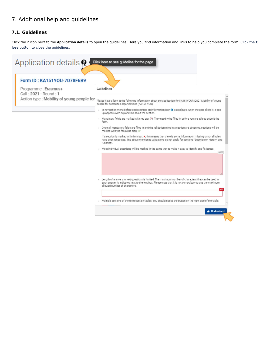## <span id="page-6-0"></span>7. Additional help and guidelines

#### <span id="page-6-1"></span>**7.1. Guidelines**

Click the ? icon next to the Application details to open the guidelines. Here you find information and links to help you complete the form. Click the C **lose** button to close the guidelines.

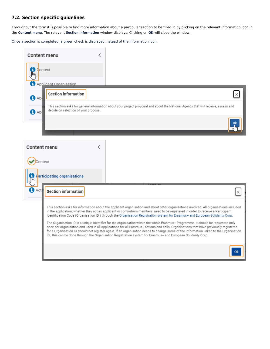#### <span id="page-7-0"></span>**7.2. Section specific guidelines**

Throughout the form it is possible to find more information about a particular section to be filled in by clicking on the relevant information icon in the **Content menu**. The relevant Section information window displays. Clicking on OK will close the window.

Once a section is completed, a green check is displayed instead of the information icon.

| Content menu<br>L                                                                            |                                                                                                                                                                                                                                                                                                                                                                                                                                                                                                                                                                                                                                                                                                                                                                                                                                                                                                                                                  |
|----------------------------------------------------------------------------------------------|--------------------------------------------------------------------------------------------------------------------------------------------------------------------------------------------------------------------------------------------------------------------------------------------------------------------------------------------------------------------------------------------------------------------------------------------------------------------------------------------------------------------------------------------------------------------------------------------------------------------------------------------------------------------------------------------------------------------------------------------------------------------------------------------------------------------------------------------------------------------------------------------------------------------------------------------------|
| Context<br>Applicant Organisation                                                            |                                                                                                                                                                                                                                                                                                                                                                                                                                                                                                                                                                                                                                                                                                                                                                                                                                                                                                                                                  |
| <b>Section information</b><br><b>C</b> Abo<br>decide on selection of your proposal.<br>A Abe | This section asks for general information about your project proposal and about the National Agency that will receive, assess and                                                                                                                                                                                                                                                                                                                                                                                                                                                                                                                                                                                                                                                                                                                                                                                                                |
|                                                                                              |                                                                                                                                                                                                                                                                                                                                                                                                                                                                                                                                                                                                                                                                                                                                                                                                                                                                                                                                                  |
| Content menu<br>K                                                                            |                                                                                                                                                                                                                                                                                                                                                                                                                                                                                                                                                                                                                                                                                                                                                                                                                                                                                                                                                  |
| Context<br><b>Farticipating organisations</b>                                                |                                                                                                                                                                                                                                                                                                                                                                                                                                                                                                                                                                                                                                                                                                                                                                                                                                                                                                                                                  |
| Acti<br><b>Section information</b>                                                           |                                                                                                                                                                                                                                                                                                                                                                                                                                                                                                                                                                                                                                                                                                                                                                                                                                                                                                                                                  |
|                                                                                              | This section asks for information about the applicant organisation and about other organisations involved. All organisations included<br>in the application, whether they act as applicant or consortium members, need to be registered in order to receive a Participant<br>Identification Code (Organisation ID) through the Organisation Registration system for Erasmus+ and European Solidarity Corp.<br>The Organisation ID is a unique identifier for the organisation within the whole Erasmus+ Programme. It should be requested only<br>once per organisation and used in all applications for all Erasmus+ actions and calls. Organisations that have previously registered<br>for a Organisation ID should not register again. If an organisation needs to change some of the information linked to the Organisation<br>ID, this can be done through the Organisation Registration system for Erasmus+ and European Solidarity Corp. |
|                                                                                              |                                                                                                                                                                                                                                                                                                                                                                                                                                                                                                                                                                                                                                                                                                                                                                                                                                                                                                                                                  |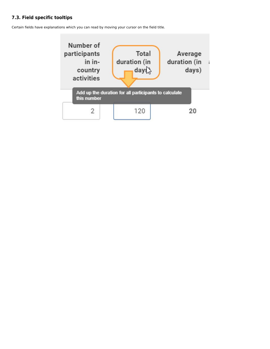#### <span id="page-8-0"></span>**7.3. Field specific tooltips**

Certain fields have explanations which you can read by moving your cursor on the field title.

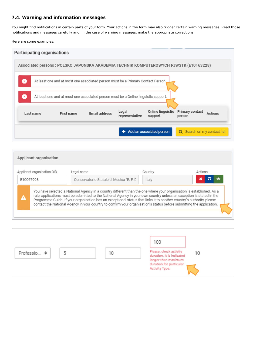#### <span id="page-9-0"></span>**7.4. Warning and information messages**

You might find notifications in certain parts of your form. Your actions in the form may also trigger certain warning messages. Read those notifications and messages carefully and, in the case of warning messages, make the appropriate corrections.

Here are some examples:



| Applicant organisation OID | Legal name                                                                                                                                                                                                                                                                                                                                                                                                                                                                                   | Country | Actions |  |
|----------------------------|----------------------------------------------------------------------------------------------------------------------------------------------------------------------------------------------------------------------------------------------------------------------------------------------------------------------------------------------------------------------------------------------------------------------------------------------------------------------------------------------|---------|---------|--|
| E10067998                  | Conservatorio Statale di Musica "E. F. C.                                                                                                                                                                                                                                                                                                                                                                                                                                                    | Italy   | c<br>×  |  |
| Δ                          | You have selected a National Agency in a country different than the one where your organisation is established. As a<br>rule, applications must be submitted to the National Agency in your own country unless an exception is stated in the<br>Programme Guide. If your organisation has an exceptional status that links it to another country's authority, please<br>contact the National Agency in your country to confirm your organisation's status before submitting the application. |         |         |  |